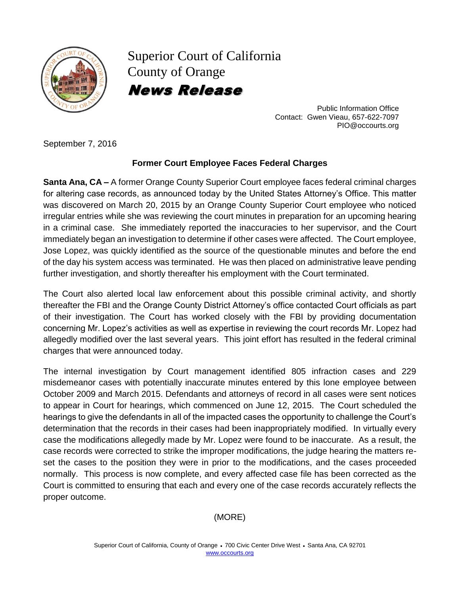

Superior Court of California County of Orange News Release

> Public Information Office Contact: Gwen Vieau, 657-622-7097 PIO@occourts.org

September 7, 2016

## **Former Court Employee Faces Federal Charges**

**Santa Ana, CA –** A former Orange County Superior Court employee faces federal criminal charges for altering case records, as announced today by the United States Attorney's Office. This matter was discovered on March 20, 2015 by an Orange County Superior Court employee who noticed irregular entries while she was reviewing the court minutes in preparation for an upcoming hearing in a criminal case. She immediately reported the inaccuracies to her supervisor, and the Court immediately began an investigation to determine if other cases were affected. The Court employee, Jose Lopez, was quickly identified as the source of the questionable minutes and before the end of the day his system access was terminated. He was then placed on administrative leave pending further investigation, and shortly thereafter his employment with the Court terminated.

The Court also alerted local law enforcement about this possible criminal activity, and shortly thereafter the FBI and the Orange County District Attorney's office contacted Court officials as part of their investigation. The Court has worked closely with the FBI by providing documentation concerning Mr. Lopez's activities as well as expertise in reviewing the court records Mr. Lopez had allegedly modified over the last several years. This joint effort has resulted in the federal criminal charges that were announced today.

The internal investigation by Court management identified 805 infraction cases and 229 misdemeanor cases with potentially inaccurate minutes entered by this lone employee between October 2009 and March 2015. Defendants and attorneys of record in all cases were sent notices to appear in Court for hearings, which commenced on June 12, 2015. The Court scheduled the hearings to give the defendants in all of the impacted cases the opportunity to challenge the Court's determination that the records in their cases had been inappropriately modified. In virtually every case the modifications allegedly made by Mr. Lopez were found to be inaccurate. As a result, the case records were corrected to strike the improper modifications, the judge hearing the matters reset the cases to the position they were in prior to the modifications, and the cases proceeded normally. This process is now complete, and every affected case file has been corrected as the Court is committed to ensuring that each and every one of the case records accurately reflects the proper outcome.

## (MORE)